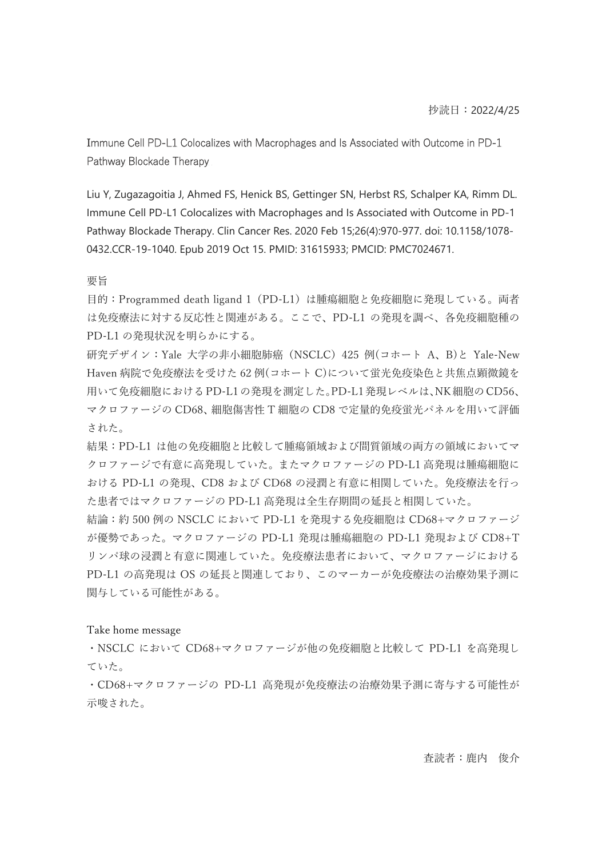# Immune Cell PD-L1 Colocalizes with Macrophages and Is Associated with Outcome in PD-1 Pathway Blockade Therapy

Liu Y, Zugazagoitia J, Ahmed FS, Henick BS, Gettinger SN, Herbst RS, Schalper KA, Rimm DL. Immune Cell PD-L1 Colocalizes with Macrophages and Is Associated with Outcome in PD-1 Pathway Blockade Therapy. Clin Cancer Res. 2020 Feb 15;26(4):970-977. doi: 10.1158/1078- 0432.CCR-19-1040. Epub 2019 Oct 15. PMID: 31615933; PMCID: PMC7024671.

### 要旨

目的:Programmed death ligand 1(PD-L1)は腫瘍細胞と免疫細胞に発現している。両者 は免疫療法に対する反応性と関連がある。ここで、PD-L1 の発現を調べ、各免疫細胞種の PD-L1 の発現状況を明らかにする。

研究デザイン:Yale 大学の非小細胞肺癌(NSCLC)425 例(コホート A、B)と Yale-New Haven 病院で免疫療法を受けた 62 例(コホート C)について蛍光免疫染色と共焦点顕微鏡を 用いて免疫細胞における PD-L1 の発現を測定した。PD-L1 発現レベルは、NK 細胞の CD56、 マクロファージの CD68、細胞傷害性 T 細胞の CD8 で定量的免疫蛍光パネルを用いて評価 された。

結果:PD-L1 は他の免疫細胞と比較して腫瘍領域および間質領域の両方の領域においてマ クロファージで有意に高発現していた。またマクロファージの PD-L1 高発現は腫瘍細胞に おける PD-L1 の発現、CD8 および CD68 の浸潤と有意に相関していた。免疫療法を行っ た患者ではマクロファージの PD-L1 高発現は全生存期間の延⻑と相関していた。

結論:約 500 例の NSCLC において PD-L1 を発現する免疫細胞は CD68+マクロファージ が優勢であった。マクロファージの PD-L1 発現は腫瘍細胞の PD-L1 発現および CD8+T リンパ球の浸潤と有意に関連していた。免疫療法患者において、マクロファージにおける PD-L1 の高発現は OS の延⻑と関連しており、このマーカーが免疫療法の治療効果予測に 関与している可能性がある。

## Take home message

・NSCLC において CD68+マクロファージが他の免疫細胞と比較して PD-L1 を高発現し ていた。

・CD68+マクロファージの PD-L1 高発現が免疫療法の治療効果予測に寄与する可能性が 示唆された。

査読者:鹿内 俊介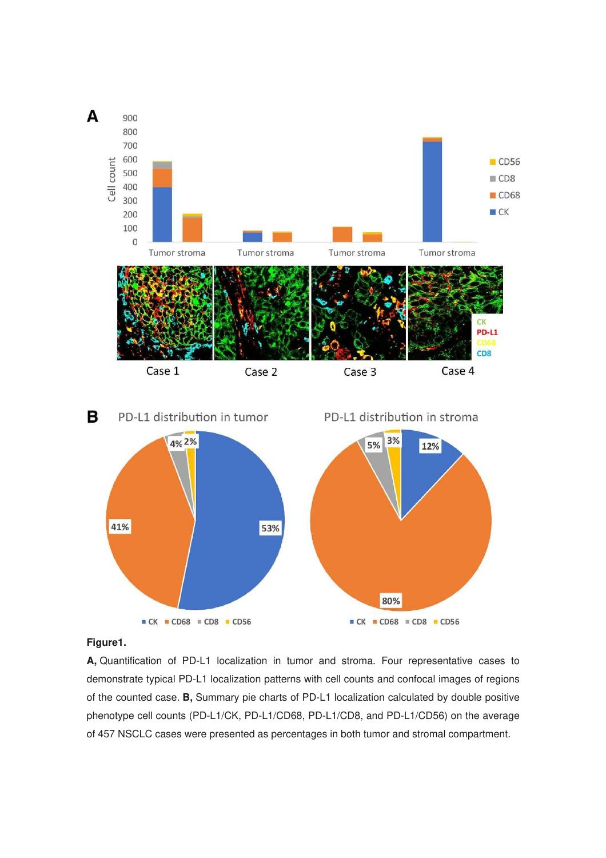



## **Figure1.**

**A,** Quantification of PD-L1 localization in tumor and stroma. Four representative cases to demonstrate typical PD-L1 localization patterns with cell counts and confocal images of regions of the counted case. **B,** Summary pie charts of PD-L1 localization calculated by double positive phenotype cell counts (PD-L1/CK, PD-L1/CD68, PD-L1/CD8, and PD-L1/CD56) on the average of 457 NSCLC cases were presented as percentages in both tumor and stromal compartment.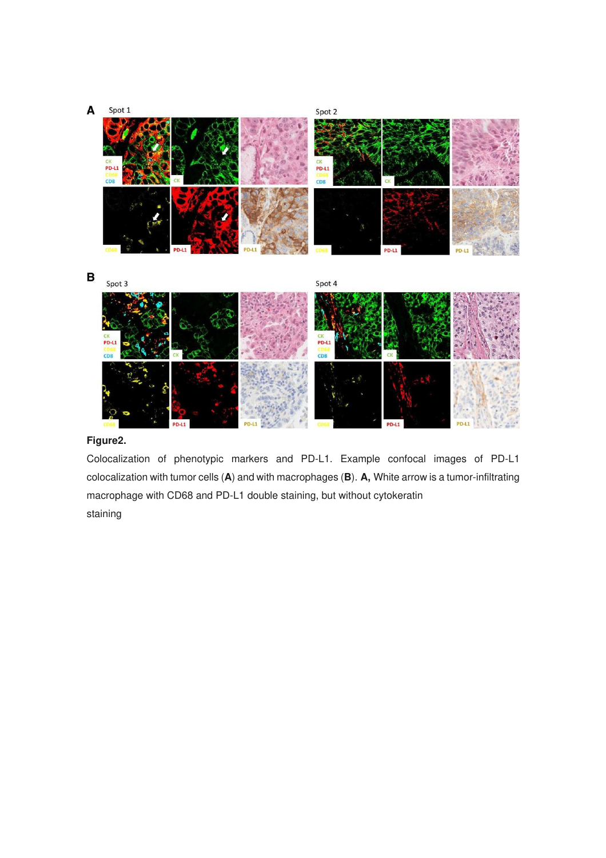#### A Spot 1

Spot 2



 $\overline{B}$ 

Spot 4



# **Figure2.**

Colocalization of phenotypic markers and PD-L1. Example confocal images of PD-L1 colocalization with tumor cells (**A**) and with macrophages (**B**). **A,** White arrow is a tumor-infiltrating macrophage with CD68 and PD-L1 double staining, but without cytokeratin staining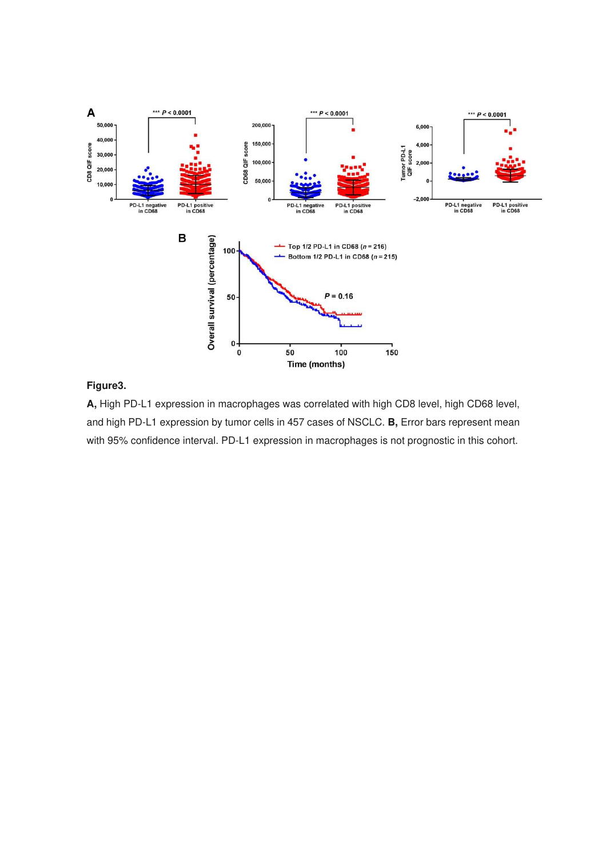

# **Figure3.**

**A,** High PD-L1 expression in macrophages was correlated with high CD8 level, high CD68 level, and high PD-L1 expression by tumor cells in 457 cases of NSCLC. **B,** Error bars represent mean with 95% confidence interval. PD-L1 expression in macrophages is not prognostic in this cohort.